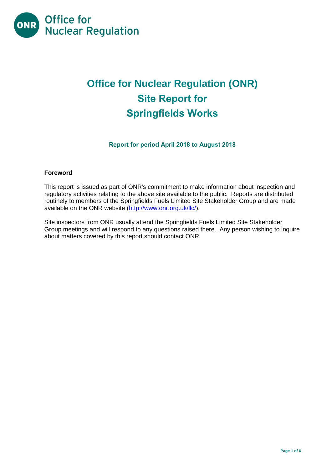

# **Office for Nuclear Regulation (ONR) Site Report for Springfields Works**

**Report for period April 2018 to August 2018**

# **Foreword**

This report is issued as part of ONR's commitment to make information about inspection and regulatory activities relating to the above site available to the public. Reports are distributed routinely to members of the Springfields Fuels Limited Site Stakeholder Group and are made available on the ONR website [\(http://www.onr.org.uk/llc/\)](http://www.onr.org.uk/llc/).

Site inspectors from ONR usually attend the Springfields Fuels Limited Site Stakeholder Group meetings and will respond to any questions raised there. Any person wishing to inquire about matters covered by this report should contact ONR.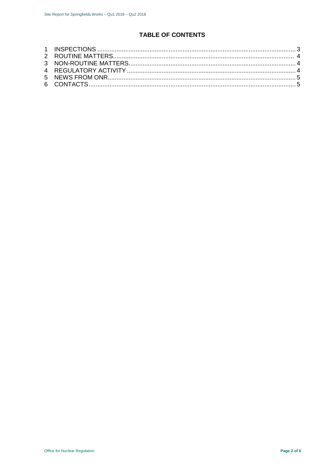# **TABLE OF CONTENTS**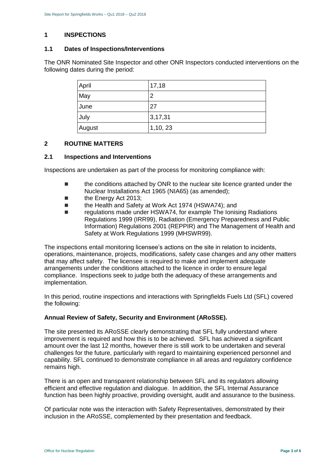# <span id="page-2-0"></span>**1 INSPECTIONS**

#### **1.1 Dates of Inspections/Interventions**

The ONR Nominated Site Inspector and other ONR Inspectors conducted interventions on the following dates during the period:

| April  | 17,18   |
|--------|---------|
| May    | 2       |
| June   | 27      |
| July   | 3,17,31 |
| August | 1,10,23 |

# <span id="page-2-1"></span>**2 ROUTINE MATTERS**

#### **2.1 Inspections and Interventions**

Inspections are undertaken as part of the process for monitoring compliance with:

- **the conditions attached by ONR to the nuclear site licence granted under the** Nuclear Installations Act 1965 (NIA65) (as amended);
- the Energy Act 2013;
- the Health and Safety at Work Act 1974 (HSWA74); and
- Teaulations made under HSWA74, for example The Ionising Radiations Regulations 1999 (IRR99), Radiation (Emergency Preparedness and Public Information) Regulations 2001 (REPPIR) and The Management of Health and Safety at Work Regulations 1999 (MHSWR99).

The inspections entail monitoring licensee's actions on the site in relation to incidents, operations, maintenance, projects, modifications, safety case changes and any other matters that may affect safety. The licensee is required to make and implement adequate arrangements under the conditions attached to the licence in order to ensure legal compliance. Inspections seek to judge both the adequacy of these arrangements and implementation.

In this period, routine inspections and interactions with Springfields Fuels Ltd (SFL) covered the following:

#### **Annual Review of Safety, Security and Environment (ARoSSE).**

The site presented its ARoSSE clearly demonstrating that SFL fully understand where improvement is required and how this is to be achieved. SFL has achieved a significant amount over the last 12 months, however there is still work to be undertaken and several challenges for the future, particularly with regard to maintaining experienced personnel and capability. SFL continued to demonstrate compliance in all areas and regulatory confidence remains high.

There is an open and transparent relationship between SFL and its regulators allowing efficient and effective regulation and dialogue. In addition, the SFL Internal Assurance function has been highly proactive, providing oversight, audit and assurance to the business.

Of particular note was the interaction with Safety Representatives, demonstrated by their inclusion in the ARoSSE, complemented by their presentation and feedback.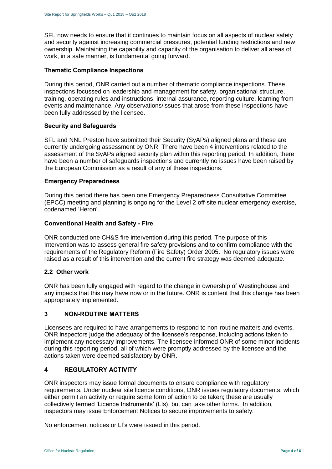SFL now needs to ensure that it continues to maintain focus on all aspects of nuclear safety and security against increasing commercial pressures, potential funding restrictions and new ownership. Maintaining the capability and capacity of the organisation to deliver all areas of work, in a safe manner, is fundamental going forward.

#### **Thematic Compliance Inspections**

During this period, ONR carried out a number of thematic compliance inspections. These inspections focussed on leadership and management for safety, organisational structure, training, operating rules and instructions, internal assurance, reporting culture, learning from events and maintenance. Any observations/issues that arose from these inspections have been fully addressed by the licensee.

# **Security and Safeguards**

SFL and NNL Preston have submitted their Security (SyAPs) aligned plans and these are currently undergoing assessment by ONR. There have been 4 interventions related to the assessment of the SyAPs aligned security plan within this reporting period. In addition, there have been a number of safeguards inspections and currently no issues have been raised by the European Commission as a result of any of these inspections.

#### **Emergency Preparedness**

During this period there has been one Emergency Preparedness Consultative Committee (EPCC) meeting and planning is ongoing for the Level 2 off-site nuclear emergency exercise, codenamed 'Heron'.

# **Conventional Health and Safety - Fire**

ONR conducted one CH&S fire intervention during this period. The purpose of this Intervention was to assess general fire safety provisions and to confirm compliance with the requirements of the Regulatory Reform (Fire Safety) Order 2005. No regulatory issues were raised as a result of this intervention and the current fire strategy was deemed adequate.

#### **2.2 Other work**

ONR has been fully engaged with regard to the change in ownership of Westinghouse and any impacts that this may have now or in the future. ONR is content that this change has been appropriately implemented.

# <span id="page-3-0"></span>**3 NON-ROUTINE MATTERS**

Licensees are required to have arrangements to respond to non-routine matters and events. ONR inspectors judge the adequacy of the licensee's response, including actions taken to implement any necessary improvements. The licensee informed ONR of some minor incidents during this reporting period, all of which were promptly addressed by the licensee and the actions taken were deemed satisfactory by ONR.

# <span id="page-3-1"></span>**4 REGULATORY ACTIVITY**

ONR inspectors may issue formal documents to ensure compliance with regulatory requirements. Under nuclear site licence conditions, ONR issues regulatory documents, which either permit an activity or require some form of action to be taken; these are usually collectively termed 'Licence Instruments' (LIs), but can take other forms. In addition, inspectors may issue Enforcement Notices to secure improvements to safety.

<span id="page-3-2"></span>No enforcement notices or LI's were issued in this period.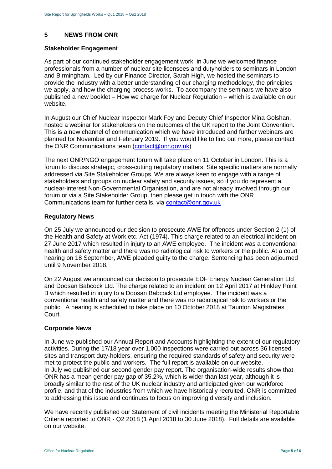# **5 NEWS FROM ONR**

#### **Stakeholder Engagemen**t

As part of our continued stakeholder engagement work, in June we welcomed finance professionals from a number of nuclear site licensees and dutyholders to seminars in London and Birmingham. Led by our Finance Director, Sarah High, we hosted the seminars to provide the industry with a better understanding of our charging methodology, the principles we apply, and how the charging process works. To accompany the seminars we have also published a new booklet – How we charge for Nuclear Regulation – which is available on our website.

In August our Chief Nuclear Inspector Mark Foy and Deputy Chief Inspector Mina Golshan, hosted a webinar for stakeholders on the outcomes of the UK report to the Joint Convention. This is a new channel of communication which we have introduced and further webinars are planned for November and February 2019. If you would like to find out more, please contact the ONR Communications team [\(contact@onr.gov.uk\)](mailto:contact@onr.gov.uk)

The next ONR/NGO engagement forum will take place on 11 October in London. This is a forum to discuss strategic, cross-cutting regulatory matters. Site specific matters are normally addressed via Site Stakeholder Groups. We are always keen to engage with a range of stakeholders and groups on nuclear safety and security issues, so if you do represent a nuclear-interest Non-Governmental Organisation, and are not already involved through our forum or via a Site Stakeholder Group, then please get in touch with the ONR Communications team for further details, via [contact@onr.gov.uk](mailto:contact@onr.gov.uk)

# **Regulatory News**

On 25 July we announced our decision to prosecute AWE for offences under Section 2 (1) of the Health and Safety at Work etc. Act (1974). This charge related to an electrical incident on 27 June 2017 which resulted in injury to an AWE employee. The incident was a conventional health and safety matter and there was no radiological risk to workers or the public. At a court hearing on 18 September, AWE pleaded guilty to the charge. Sentencing has been adjourned until 9 November 2018.

On 22 August we announced our decision to prosecute EDF Energy Nuclear Generation Ltd and Doosan Babcock Ltd. The charge related to an incident on 12 April 2017 at Hinkley Point B which resulted in injury to a Doosan Babcock Ltd employee. The incident was a conventional health and safety matter and there was no radiological risk to workers or the public. A hearing is scheduled to take place on 10 October 2018 at Taunton Magistrates Court.

#### **Corporate News**

In June we published our Annual Report and Accounts highlighting the extent of our regulatory activities. During the 17/18 year over 1,000 inspections were carried out across 36 licensed sites and transport duty-holders, ensuring the required standards of safety and security were met to protect the public and workers. The full report is available on our website. In July we published our second gender pay report. The organisation-wide results show that ONR has a mean gender pay gap of 35.2%, which is wider than last year, although it is broadly similar to the rest of the UK nuclear industry and anticipated given our workforce profile, and that of the industries from which we have historically recruited. ONR is committed to addressing this issue and continues to focus on improving diversity and inclusion.

We have recently published our Statement of civil incidents meeting the Ministerial Reportable Criteria reported to ONR - Q2 2018 (1 April 2018 to 30 June 2018). Full details are available on our website.